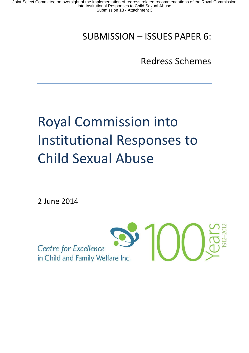# SUBMISSION – ISSUES PAPER 6:

Redress Schemes

# Royal Commission into Institutional Responses to Child Sexual Abuse

2 June 2014

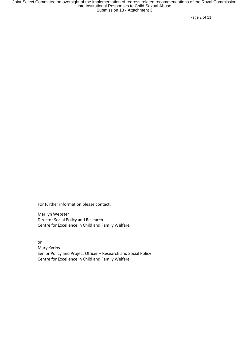Page 2 of 11

For further information please contact:

Marilyn Webster Director Social Policy and Research Centre for Excellence in Child and Family Welfare

or Mary Kyrios Senior Policy and Project Officer – Research and Social Policy Centre for Excellence in Child and Family Welfare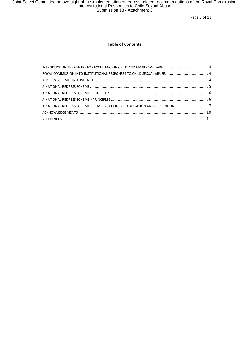Page 3 of 11

# **Table of Contents**

| ROYAL COMMISSION INTO INSTITUTIONAL RESPONSES TO CHILD SEXUAL ABUSE 4      |  |
|----------------------------------------------------------------------------|--|
|                                                                            |  |
|                                                                            |  |
|                                                                            |  |
|                                                                            |  |
| A NATIONAL REDRESS SCHEME - COMPENSATION, REHABILITATION AND PREVENTION  7 |  |
|                                                                            |  |
|                                                                            |  |
|                                                                            |  |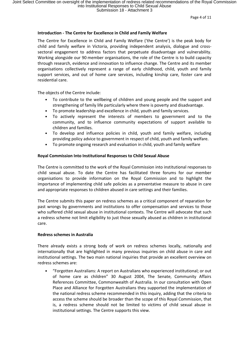Page 4 of 11

# **Introduction - The Centre for Excellence in Child and Family Welfare**

The Centre for Excellence in Child and Family Welfare ('the Centre') is the peak body for child and family welfare in Victoria, providing independent analysis, dialogue and crosssectoral engagement to address factors that perpetuate disadvantage and vulnerability. Working alongside our 90 member organisations, the role of the Centre is to build capacity through research, evidence and innovation to influence change. The Centre and its member organisations collectively represent a range of early childhood, child, youth and family support services, and out of home care services, including kinship care, foster care and residential care.

The objects of the Centre include:

- To contribute to the wellbeing of children and young people and the support and strengthening of family life particularly where there is poverty and disadvantage.
- To promote leadership and excellence in child, youth and family services.
- To actively represent the interests of members to government and to the community, and to influence community expectations of support available to children and families.
- To develop and influence policies in child, youth and family welfare, including providing policy advice to government in respect of child, youth and family welfare.
- To promote ongoing research and evaluation in child, youth and family welfare

### **Royal Commission Into Institutional Responses to Child Sexual Abuse**

The Centre is committed to the work of the Royal Commission into institutional responses to child sexual abuse. To date the Centre has facilitated three forums for our member organisations to provide information on the Royal Commission and to highlight the importance of implementing child safe policies as a preventative measure to abuse in care and appropriate responses to children abused in care settings and their families.

The Centre submits this paper on redress schemes as a critical component of reparation for past wrongs by governments and institutions to offer compensation and services to those who suffered child sexual abuse in institutional contexts. The Centre will advocate that such a redress scheme not limit eligibility to just those sexually abused as children in institutional care.

### **Redress schemes in Australia**

There already exists a strong body of work on redress schemes locally, nationally and internationally that are highlighted in many previous inquiries on child abuse in care and institutional settings. The two main national inquiries that provide an excellent overview on redress schemes are:

• "Forgotten Australians: A report on Australians who experienced institutional; or out of home care as children" 30 August 2004, The Senate, Community Affairs References Committee, Commonwealth of Australia. In our consultation with Open Place and Alliance for Forgotten Australians they supported the implementation of the national redress scheme recommended in this inquiry, adding that the criteria to access the scheme should be broader than the scope of this Royal Commission, that is, a redress scheme should not be limited to victims of child sexual abuse in institutional settings. The Centre supports this view.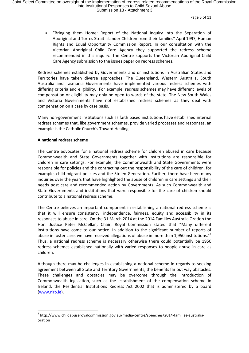Page 5 of 11

• "Bringing them Home: Report of the National Inquiry into the Separation of Aboriginal and Torres Strait Islander Children from their families" April 1997, Human Rights and Equal Opportunity Commission Report. In our consultation with the Victorian Aboriginal Child Care Agency they supported the redress scheme recommended in this inquiry. The Centre supports the Victorian Aboriginal Child Care Agency submission to the issues paper on redress schemes.

Redress schemes established by Governments and or institutions in Australian States and Territories have taken diverse approaches. The Queensland, Western Australia, South Australia and Tasmania Governments have implemented various redress schemes with differing criteria and eligibility. For example, redress schemes may have different levels of compensation or eligibility may only be open to wards of the state. The New South Wales and Victoria Governments have not established redress schemes as they deal with compensation on a case by case basis.

Many non-government institutions such as faith based institutions have established internal redress schemes that, like government schemes, provide varied processes and responses, an example is the Catholic Church's Toward Healing.

### **A national redress scheme**

 $\overline{\phantom{a}}$ 

The Centre advocates for a national redress scheme for children abused in care because Commonwealth and State Governments together with institutions are responsible for children in care settings. For example, the Commonwealth and State Governments were responsible for policies and the contracting out the responsibility of the care of children, for example, child migrant policies and the Stolen Generation. Further, there have been many inquiries over the years that have highlighted the abuse of children in care settings and their needs post care and recommended action by Governments. As such Commonwealth and State Governments and institutions that were responsible for the care of children should contribute to a national redress scheme.

The Centre believes an important component in establishing a national redress scheme is that it will ensure consistency, independence, fairness, equity and accessibility in its responses to abuse in care. On the 31 March 2014 at the 2014 Families Australia Oration the Hon. Justice Peter McClellan, Chair, Royal Commission stated that "Many different institutions have come to our notice. In addition to the significant number of reports of abuse in foster care, we have received allegations of abuse in more than 1,950 institutions."<sup>1</sup> Thus, a national redress scheme is necessary otherwise there could potentially be 1950 redress schemes established nationally with varied responses to people abuse in care as children.

Although there may be challenges in establishing a national scheme in regards to seeking agreement between all State and Territory Governments, the benefits far out way obstacles. These challenges and obstacles may be overcome through the introduction of Commonwealth legislation, such as the establishment of the compensation scheme in Ireland, the Residential Institutions Redress Act 2002 that is administered by a board (www.rirb.ie).

 $^{\rm 1}$  http://www.childabuseroyalcommission.gov.au/media-centre/speeches/2014-families-australiaoration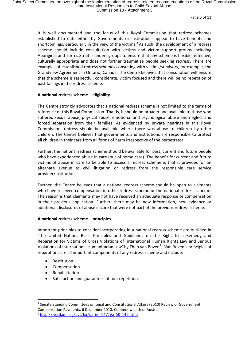It is well documented and the focus of this Royal Commission that redress schemes established to date either by Governments or institutions appear to have benefits and shortcomings, particularly in the view of the victims.<sup>2</sup> As such, the development of a redress scheme should include consultation with victims and victim support groups including Aboriginal and Torres Strait Islanders groups to ensure that any scheme is flexible, effective, culturally appropriate and does not further traumatise people seeking redress. There are examples of established redress schemes consulting with victims/survivors, for example, the Grandview Agreement in Ontario, Canada. The Centre believes that consultation will ensure that the scheme is respectful, considerate, victim focused and there will be no repetition of past failings in the redress scheme.

# **A national redress scheme – eligibility**

The Centre strongly advocates that a national redress scheme is not limited to the terms of reference of this Royal Commission. That is, it should be broader and available to those who suffered sexual abuse, physical abuse, emotional and psychological abuse and neglect and forced separation from their families. As evidenced by private hearings in this Royal Commission, redress should be available where there was abuse to children by other children. The Centre believes that governments and institutions are responsible to protect all children in their care from all forms of harm irrespective of the perpetrator.

Further, the national redress scheme should be available for past, current and future people who have experienced abuse in care (out of home care). The benefit for current and future victims of abuse in care to be able to access a redress scheme is that it provides for an alternate avenue to civil litigation or redress from the responsible care service provider/institution.

Further, the Centre believes that a national redress scheme should be open to claimants who have received compensation in other redress scheme or the national redress scheme. The reason is that claimants may not have received an adequate response or compensation in their previous application. Further, there may be new information, new evidence or additional disclosures of abuse in care that were not part of the previous redress scheme.

### **A national redress scheme – principles**

Important principles to consider incorporating in a national redress scheme are outlined in 'The United Nations Basic Principles and Guidelines on the Right to a Remedy and Reparation for Victims of Gross Violations of International Human Rights Law and Serious Violations of International Humanitarian Law' by Theo van Boven<sup>3</sup>. Van Boven's principles of reparations are all important components of any redress scheme and include:

Restitution

 $\overline{\phantom{a}}$ 

- Compensation
- Rehabilitation
- Satisfaction and guarantees of non-repetition.

 $^2$  Senate Standing Committees on Legal and Constitutional Affairs (2010) Review of Government Compensation Payments, 6 December 2010, Commonwealth of Australia <sup>3</sup> http://legal.un.org/avl/ha/ga 60-147/ga 60-147.html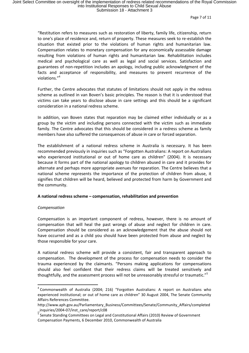"Restitution refers to measures such as restoration of liberty, family life, citizenship, return to one's place of residence and, return of property. These measures seek to re-establish the situation that existed prior to the violations of human rights and humanitarian law. Compensation relates to monetary compensation for any economically assessable damage resulting from violations of human rights and humanitarian law. Rehabilitation includes medical and psychological care as well as legal and social services. Satisfaction and guarantees of non-repetition includes an apology, including public acknowledgment of the facts and acceptance of responsibility, and measures to prevent recurrence of the violations." 4

Further, the Centre advocates that statutes of limitations should not apply in the redress scheme as outlined in van Boven's basic principles. The reason is that it is understood that victims can take years to disclose abuse in care settings and this should be a significant consideration in a national redress scheme.

In addition, van Boven states that reparation may be claimed either individually or as a group by the victim and including persons connected with the victim such as immediate family. The Centre advocates that this should be considered in a redress scheme as family members have also suffered the consequences of abuse in care or forced separation.

The establishment of a national redress scheme in Australia is necessary. It has been recommended previously in inquiries such as "Forgotten Australians: A report on Australians who experienced institutional or out of home care as children" (2004). It is necessary because it forms part of the national apology to children abused in care and it provides for alternate and perhaps more appropriate avenues for reparation. The Centre believes that a national scheme represents the importance of the protection of children from abuse, it signifies that children will be heard, believed and protected from harm by Government and the community.

#### **A national redress scheme – compensation, rehabilitation and prevention**

#### *Compensation*

 $\overline{\phantom{a}}$ 

Compensation is an important component of redress, however, there is no amount of compensation that will heal the past wrongs of abuse and neglect for children in care. Compensation should be considered as an acknowledgement that the abuse should not have occurred and as a child you should have been protected from abuse and neglect by those responsible for your care.

A national redress scheme will provide a consistent, fair and transparent approach to compensation. The development of the process for compensation needs to consider the trauma experienced by the claimants. "Persons making applications for compensations should also feel confident that their redress claims will be treated sensitively and thoughtfully, and the assessment process will not be unreasonably stressful or traumatic."<sup>5</sup>

<sup>&</sup>lt;sup>4</sup> Commonwealth of Australia (2004; 216) "Forgotten Australians: A report on Australians who experienced institutional; or out of home care as children" 30 August 2004, The Senate Community Affairs References Committee.

http://www.aph.gov.au/Parliamentary\_Business/Committees/Senate/Community\_Affairs/completed \_inquiries/2004-07/inst\_care/report/c08

<sup>&</sup>lt;sup>5</sup> Senate Standing Committees on Legal and Constitutional Affairs (2010) Review of Government Compensation Payments, 6 December 2010, Commonwealth of Australia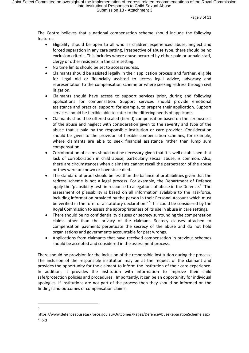Page 8 of 11

The Centre believes that a national compensation scheme should include the following features:

- Eligibility should be open to all who as children experienced abuse, neglect and forced separation in any care setting, irrespective of abuse type, there should be no exclusion criteria. This includes where abuse occurred by either paid or unpaid staff, clergy or other residents in the care setting.
- No time limits should be set to access redress.
- Claimants should be assisted legally in their application process and further, eligible for Legal Aid or financially assisted to access legal advice, advocacy and representation to the compensation scheme or where seeking redress through civil litigation.
- Claimants should have access to support services prior, during and following applications for compensation. Support services should provide emotional assistance and practical support, for example, to prepare their application. Support services should be flexible able to cater to the differing needs of applicants.
- Claimants should be offered scaled (tiered) compensation based on the seriousness of the abuse and neglect with consideration given to the severity and type of the abuse that is paid by the responsible institution or care provider. Consideration should be given to the provision of flexible compensation schemes, for example, where claimants are able to seek financial assistance rather than lump sum compensation.
- Corroboration of claims should not be necessary given that it is well established that lack of corroboration in child abuse, particularly sexual abuse, is common. Also, there are circumstances when claimants cannot recall the perpetrator of the abuse or they were unknown or have since died.
- The standard of proof should be less than the balance of probabilities given that the redress scheme is not a legal process. For example, the Department of Defence apply the 'plausibility test' in response to allegations of abuse in the Defence.<sup>6</sup> "The assessment of plausibility is based on all information available to the Taskforce, including information provided by the person in their Personal Account which must be verified in the form of a statutory declaration."<sup>7</sup> This could be considered by the Royal Commission to assess the appropriateness of its use in abuse in care settings.
- There should be no confidentiality clauses or secrecy surrounding the compensation claims other than the privacy of the claimant. Secrecy clauses attached to compensation payments perpetuate the secrecy of the abuse and do not hold organisations and governments accountable for past wrongs.
- Applications from claimants that have received compensation in previous schemes should be accepted and considered in the assessment process.

There should be provision for the inclusion of the responsible institution during the process. The inclusion of the responsible institution may be at the request of the claimant and provides the opportunity for the claimant to inform the institution of their care experience. In addition, it provides the institution with information to improve their child safe/protection policies and procedures. Importantly, it can be an opportunity for individual apologies. If institutions are not part of the process then they should be informed on the findings and outcomes of compensation claims.

 $\overline{\phantom{a}}$ 6

https://www.defenceabusetaskforce.gov.au/Outcomes/Pages/DefenceAbuseReparationScheme.aspx <sup>7</sup> ibid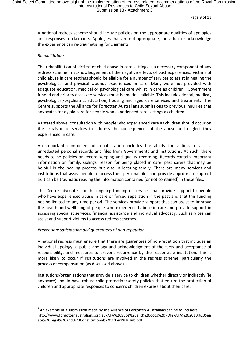Page 9 of 11

A national redress scheme should include policies on the appropriate qualities of apologies and responses to claimants. Apologies that are not appropriate, individual or acknowledge the experience can re-traumatising for claimants.

# *Rehabilitation*

 $\overline{\phantom{a}}$ 

The rehabilitation of victims of child abuse in care settings is a necessary component of any redress scheme in acknowledgement of the negative effects of past experiences. Victims of child abuse in care settings should be eligible for a number of services to assist in healing the psychological and physical wounds experienced in care. Many were not provided with adequate education, medical or psychological care whilst in care as children. Government funded and priority access to services must be made available. This includes dental, medical, psychological/psychiatric, education, housing and aged care services and treatment. The Centre supports the Alliance for Forgotten Australians submissions to previous inquiries that advocates for a gold card for people who experienced care settings as children.<sup>8</sup>

As stated above, consultation with people who experienced care as children should occur on the provision of services to address the consequences of the abuse and neglect they experienced in care.

An important component of rehabilitation includes the ability for victims to access unredacted personal records and files from Governments and institutions. As such, there needs to be policies on record keeping and quality recording. Records contain important information on family, siblings, reason for being placed in care, past carers that may be helpful in the healing process but also in locating family. There are many services and institutions that assist people to access their personal files and provide appropriate support as it can be traumatic reading the information contained (or not contained) in these files.

The Centre advocates for the ongoing funding of services that provide support to people who have experienced abuse in care or forced separation in the past and that this funding not be limited to any time period. The services provide support that can assist to improve the health and wellbeing of people who experienced abuse in care and provide support in accessing specialist services, financial assistance and individual advocacy. Such services can assist and support victims to access redress schemes.

### *Prevention: satisfaction and guarantees of non-repetition*

A national redress must ensure that there are guarantees of non-repetition that includes an individual apology, a public apology and acknowledgment of the facts and acceptance of responsibility, and measures to prevent recurrence by the responsible institution. This is more likely to occur if institutions are involved in the redress scheme, particularly the process of compensation (as discussed above).

Institutions/organisations that provide a service to children whether directly or indirectly (ie advocacy) should have robust child protection/safety policies that ensure the protection of children and appropriate responses to concerns children express about their care.

 $^8$  An example of a submission made by the Alliance of Forgotten Australians can be found here: http://www.forgottenaustralians.org.au/AFA%20Subs%20and%20docs%20PDFs/AFA%202010%20Sen ate%20Legal%20and%20Constitutional%20Affairs%20sub.pdf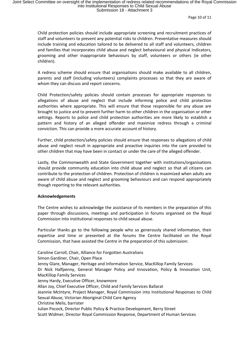Child protection policies should include appropriate screening and recruitment practices of staff and volunteers to prevent any potential risks to children. Preventative measures should include training and education tailored to be delivered to all staff and volunteers, children and families that incorporates child abuse and neglect behavioural and physical Indicators, grooming and other inappropriate behaviours by staff, volunteers or others (ie other children).

A redress scheme should ensure that organisations should make available to all children, parents and staff (including volunteers) complaints processes so that they are aware of whom they can discuss and report concerns.

Child Protection/safety policies should contain processes for appropriate responses to allegations of abuse and neglect that include informing police and child protection authorities where appropriate. This will ensure that those responsible for any abuse are brought to justice and to prevent further harm to other children in the organisation or other settings. Reports to police and child protection authorities are more likely to establish a pattern and history of an alleged offender and maximize redress through a criminal conviction. This can provide a more accurate account of history.

Further, child protection/safety policies should ensure that responses to allegations of child abuse and neglect result in appropriate and proactive inquiries into the care provided to other children that may have been in contact or under the care of the alleged offender.

Lastly, the Commonwealth and State Government together with institutions/organisations should provide community education into child abuse and neglect so that all citizens can contribute to the protection of children. Protection of children is maximized when adults are aware of child abuse and neglect and grooming behaviours and can respond appropriately though reporting to the relevant authorities.

#### **Acknowledgements**

The Centre wishes to acknowledge the assistance of its members in the preparation of this paper through discussions, meetings and participation in forums organised on the Royal Commission into institutional responses to child sexual abuse.

Particular thanks go to the following people who so generously shared information, their expertise and time or presented at the forums the Centre facilitated on the Royal Commission, that have assisted the Centre in the preparation of this submission:

Caroline Carroll, Chair, Alliance for Forgotten Australians Simon Gardiner, Chair, Open Place Jenny Glare, Manager, Heritage and Information Service, MacKillop Family Services Dr Nick Halfpenny, General Manager Policy and Innovation, Policy & Innovation Unit, MacKillop Family Services Jenny Hardy, Executive Officer, knowmore Allan Joy, Chief Executive Officer, Child and Family Services Ballarat Jeannie McIntyre, Project Manager, Royal Commission into Institutional Responses to Child Sexual Abuse, Victorian Aboriginal Child Care Agency Christine Melis, barrister Julian Pocock, Director Public Policy & Practice Development, Berry Street Scott Widmer, Director Royal Commission Response, Department of Human Services